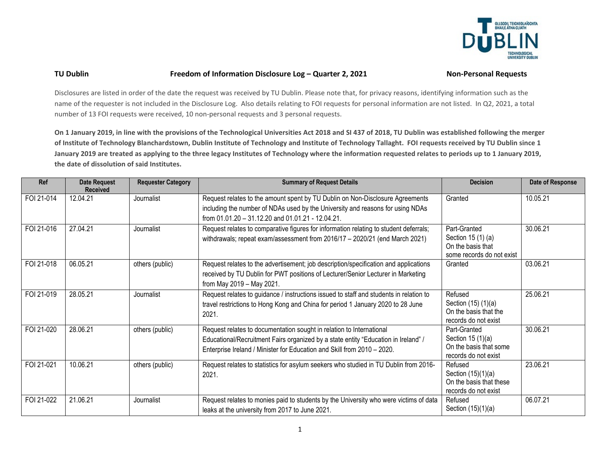

## **TU Dublin Freedom of Information Disclosure Log – Quarter 2, 2021 Non-Personal Requests**

Disclosures are listed in order of the date the request was received by TU Dublin. Please note that, for privacy reasons, identifying information such as the name of the requester is not included in the Disclosure Log. Also details relating to FOI requests for personal information are not listed. In Q2, 2021, a total number of 13 FOI requests were received, 10 non-personal requests and 3 personal requests.

**On 1 January 2019, in line with the provisions of the Technological Universities Act 2018 and SI 437 of 2018, TU Dublin was established following the merger of Institute of Technology Blanchardstown, Dublin Institute of Technology and Institute of Technology Tallaght. FOI requests received by TU Dublin since 1 January 2019 are treated as applying to the three legacy Institutes of Technology where the information requested relates to periods up to 1 January 2019, the date of dissolution of said Institutes.**

| Ref        | <b>Date Request</b><br><b>Received</b> | <b>Requester Category</b> | <b>Summary of Request Details</b>                                                                                                                                                                                                     | <b>Decision</b>                                                                       | Date of Response |
|------------|----------------------------------------|---------------------------|---------------------------------------------------------------------------------------------------------------------------------------------------------------------------------------------------------------------------------------|---------------------------------------------------------------------------------------|------------------|
| FOI 21-014 | 12.04.21                               | Journalist                | Request relates to the amount spent by TU Dublin on Non-Disclosure Agreements<br>including the number of NDAs used by the University and reasons for using NDAs<br>from 01.01.20 - 31.12.20 and 01.01.21 - 12.04.21.                  | Granted                                                                               | 10.05.21         |
| FOI 21-016 | 27.04.21                               | Journalist                | Request relates to comparative figures for information relating to student deferrals;<br>withdrawals; repeat exam/assessment from 2016/17 - 2020/21 (end March 2021)                                                                  | Part-Granted<br>Section 15 (1) (a)<br>On the basis that<br>some records do not exist  | 30.06.21         |
| FOI 21-018 | 06.05.21                               | others (public)           | Request relates to the advertisement; job description/specification and applications<br>received by TU Dublin for PWT positions of Lecturer/Senior Lecturer in Marketing<br>from May 2019 - May 2021.                                 | Granted                                                                               | 03.06.21         |
| FOI 21-019 | 28.05.21                               | Journalist                | Request relates to guidance / instructions issued to staff and students in relation to<br>travel restrictions to Hong Kong and China for period 1 January 2020 to 28 June<br>2021.                                                    | Refused<br>Section (15) (1)(a)<br>On the basis that the<br>records do not exist       | 25.06.21         |
| FOI 21-020 | 28.06.21                               | others (public)           | Request relates to documentation sought in relation to International<br>Educational/Recruitment Fairs organized by a state entity "Education in Ireland" /<br>Enterprise Ireland / Minister for Education and Skill from 2010 - 2020. | Part-Granted<br>Section 15 $(1)(a)$<br>On the basis that some<br>records do not exist | 30.06.21         |
| FOI 21-021 | 10.06.21                               | others (public)           | Request relates to statistics for asylum seekers who studied in TU Dublin from 2016-<br>2021.                                                                                                                                         | Refused<br>Section $(15)(1)(a)$<br>On the basis that these<br>records do not exist    | 23.06.21         |
| FOI 21-022 | 21.06.21                               | Journalist                | Request relates to monies paid to students by the University who were victims of data<br>leaks at the university from 2017 to June 2021.                                                                                              | Refused<br>Section (15)(1)(a)                                                         | 06.07.21         |